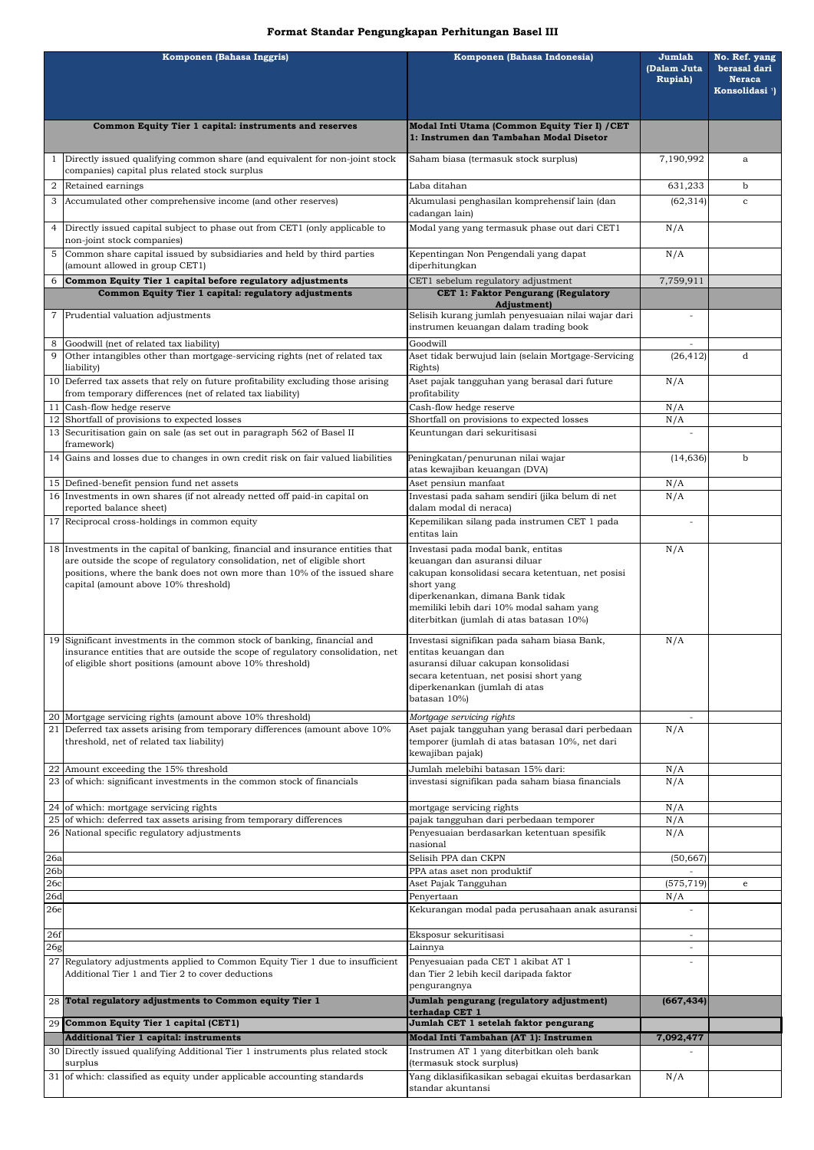## **Format Standar Pengungkapan Perhitungan Basel III**

| Komponen (Bahasa Inggris) |                                                                                                                                                                                                                                                                                 | Komponen (Bahasa Indonesia)                                                                                                                                                                                                                                      | Jumlah<br>(Dalam Juta | No. Ref. yang<br>berasal dari               |
|---------------------------|---------------------------------------------------------------------------------------------------------------------------------------------------------------------------------------------------------------------------------------------------------------------------------|------------------------------------------------------------------------------------------------------------------------------------------------------------------------------------------------------------------------------------------------------------------|-----------------------|---------------------------------------------|
|                           |                                                                                                                                                                                                                                                                                 |                                                                                                                                                                                                                                                                  | <b>Rupiah</b> )       | <b>Neraca</b><br>Konsolidasi <sup>1</sup> ) |
|                           | Common Equity Tier 1 capital: instruments and reserves                                                                                                                                                                                                                          | Modal Inti Utama (Common Equity Tier I) / CET<br>1: Instrumen dan Tambahan Modal Disetor                                                                                                                                                                         |                       |                                             |
| 1                         | Directly issued qualifying common share (and equivalent for non-joint stock<br>companies) capital plus related stock surplus                                                                                                                                                    | Saham biasa (termasuk stock surplus)                                                                                                                                                                                                                             | 7,190,992             | a                                           |
| 2                         | Retained earnings                                                                                                                                                                                                                                                               | Laba ditahan                                                                                                                                                                                                                                                     | 631,233               | b                                           |
| 3                         | Accumulated other comprehensive income (and other reserves)                                                                                                                                                                                                                     | Akumulasi penghasilan komprehensif lain (dan<br>cadangan lain)                                                                                                                                                                                                   | (62, 314)             | $\mathbf{C}$                                |
| $\overline{4}$            | Directly issued capital subject to phase out from CET1 (only applicable to<br>non-joint stock companies)                                                                                                                                                                        | Modal yang yang termasuk phase out dari CET1                                                                                                                                                                                                                     | N/A                   |                                             |
| 5                         | Common share capital issued by subsidiaries and held by third parties<br>(amount allowed in group CET1)                                                                                                                                                                         | Kepentingan Non Pengendali yang dapat<br>diperhitungkan                                                                                                                                                                                                          | N/A                   |                                             |
| 6                         | Common Equity Tier 1 capital before regulatory adjustments                                                                                                                                                                                                                      | CET1 sebelum regulatory adjustment                                                                                                                                                                                                                               | 7,759,911             |                                             |
|                           | Common Equity Tier 1 capital: regulatory adjustments                                                                                                                                                                                                                            | CET 1: Faktor Pengurang (Regulatory<br><b>Adjustment</b> )                                                                                                                                                                                                       |                       |                                             |
| 7                         | Prudential valuation adjustments                                                                                                                                                                                                                                                | Selisih kurang jumlah penyesuaian nilai wajar dari<br>instrumen keuangan dalam trading book                                                                                                                                                                      |                       |                                             |
| 9                         | Goodwill (net of related tax liability)<br>Other intangibles other than mortgage-servicing rights (net of related tax                                                                                                                                                           | Goodwill<br>Aset tidak berwujud lain (selain Mortgage-Servicing                                                                                                                                                                                                  | (26, 412)             | d                                           |
|                           | liability)<br>10 Deferred tax assets that rely on future profitability excluding those arising                                                                                                                                                                                  | Rights)<br>Aset pajak tangguhan yang berasal dari future                                                                                                                                                                                                         | N/A                   |                                             |
|                           | from temporary differences (net of related tax liability)                                                                                                                                                                                                                       | profitability                                                                                                                                                                                                                                                    |                       |                                             |
|                           | 11 Cash-flow hedge reserve<br>12 Shortfall of provisions to expected losses                                                                                                                                                                                                     | Cash-flow hedge reserve<br>Shortfall on provisions to expected losses                                                                                                                                                                                            | N/A<br>N/A            |                                             |
|                           | 13 Securitisation gain on sale (as set out in paragraph 562 of Basel II                                                                                                                                                                                                         | Keuntungan dari sekuritisasi                                                                                                                                                                                                                                     |                       |                                             |
|                           | framework)                                                                                                                                                                                                                                                                      |                                                                                                                                                                                                                                                                  |                       |                                             |
|                           | 14 Gains and losses due to changes in own credit risk on fair valued liabilities                                                                                                                                                                                                | Peningkatan/penurunan nilai wajar<br>atas kewajiban keuangan (DVA)                                                                                                                                                                                               | (14, 636)             | b                                           |
|                           | 15 Defined-benefit pension fund net assets                                                                                                                                                                                                                                      | Aset pensiun manfaat                                                                                                                                                                                                                                             | $\rm N/A$             |                                             |
|                           | 16 Investments in own shares (if not already netted off paid-in capital on<br>reported balance sheet)                                                                                                                                                                           | Investasi pada saham sendiri (jika belum di net<br>dalam modal di neraca)                                                                                                                                                                                        | N/A                   |                                             |
|                           | 17 Reciprocal cross-holdings in common equity                                                                                                                                                                                                                                   | Kepemilikan silang pada instrumen CET 1 pada<br>entitas lain                                                                                                                                                                                                     |                       |                                             |
|                           | 18 Investments in the capital of banking, financial and insurance entities that<br>are outside the scope of regulatory consolidation, net of eligible short<br>positions, where the bank does not own more than 10% of the issued share<br>capital (amount above 10% threshold) | Investasi pada modal bank, entitas<br>keuangan dan asuransi diluar<br>cakupan konsolidasi secara ketentuan, net posisi<br>short yang<br>diperkenankan, dimana Bank tidak<br>memiliki lebih dari 10% modal saham yang<br>diterbitkan (jumlah di atas batasan 10%) | N/A                   |                                             |
|                           | 19 Significant investments in the common stock of banking, financial and<br>insurance entities that are outside the scope of regulatory consolidation, net<br>of eligible short positions (amount above 10% threshold)                                                          | Investasi signifikan pada saham biasa Bank,<br>entitas keuangan dan<br>asuransi diluar cakupan konsolidasi<br>secara ketentuan, net posisi short yang<br>diperkenankan (jumlah di atas<br>batasan 10%)                                                           | N/A                   |                                             |
|                           | 20 Mortgage servicing rights (amount above 10% threshold)<br>Deferred tax assets arising from temporary differences (amount above 10%                                                                                                                                           | Mortgage servicing rights<br>Aset pajak tangguhan yang berasal dari perbedaan                                                                                                                                                                                    |                       |                                             |
| 21                        | threshold, net of related tax liability)                                                                                                                                                                                                                                        | temporer (jumlah di atas batasan 10%, net dari<br>kewajiban pajak)                                                                                                                                                                                               | N/A                   |                                             |
|                           | 22 Amount exceeding the 15% threshold                                                                                                                                                                                                                                           | Jumlah melebihi batasan 15% dari:                                                                                                                                                                                                                                |                       |                                             |
|                           |                                                                                                                                                                                                                                                                                 | 23 of which: significant investments in the common stock of financials<br>investasi signifikan pada saham biasa financials                                                                                                                                       |                       |                                             |
|                           | 24 of which: mortgage servicing rights                                                                                                                                                                                                                                          | mortgage servicing rights                                                                                                                                                                                                                                        | N/A                   |                                             |
|                           | $25$ of which: deferred tax assets arising from temporary differences<br>26 National specific regulatory adjustments                                                                                                                                                            | pajak tangguhan dari perbedaan temporer<br>Penyesuaian berdasarkan ketentuan spesifik                                                                                                                                                                            | N/A<br>N/A            |                                             |
| 26a                       |                                                                                                                                                                                                                                                                                 | nasional<br>Selisih PPA dan CKPN                                                                                                                                                                                                                                 | (50, 667)             |                                             |
| 26 <sub>b</sub>           |                                                                                                                                                                                                                                                                                 | PPA atas aset non produktif                                                                                                                                                                                                                                      |                       |                                             |
| 26c                       |                                                                                                                                                                                                                                                                                 | Aset Pajak Tangguhan                                                                                                                                                                                                                                             | (575, 719)            | e                                           |
| 26d<br>26e                |                                                                                                                                                                                                                                                                                 | Penyertaan<br>Kekurangan modal pada perusahaan anak asuransi                                                                                                                                                                                                     | N/A                   |                                             |
| 26f                       |                                                                                                                                                                                                                                                                                 | Eksposur sekuritisasi                                                                                                                                                                                                                                            |                       |                                             |
| 26g                       |                                                                                                                                                                                                                                                                                 | Lainnya                                                                                                                                                                                                                                                          |                       |                                             |
| 27                        | Regulatory adjustments applied to Common Equity Tier 1 due to insufficient<br>Additional Tier 1 and Tier 2 to cover deductions                                                                                                                                                  | Penyesuaian pada CET 1 akibat AT 1<br>dan Tier 2 lebih kecil daripada faktor<br>pengurangnya                                                                                                                                                                     |                       |                                             |
|                           | 28 Total regulatory adjustments to Common equity Tier 1                                                                                                                                                                                                                         | Jumlah pengurang (regulatory adjustment)<br>terhadap CET 1                                                                                                                                                                                                       | (667, 434)            |                                             |
|                           | 29 Common Equity Tier 1 capital (CET1)                                                                                                                                                                                                                                          | Jumlah CET 1 setelah faktor pengurang                                                                                                                                                                                                                            |                       |                                             |
|                           | <b>Additional Tier 1 capital: instruments</b><br>30 Directly issued qualifying Additional Tier 1 instruments plus related stock                                                                                                                                                 | Modal Inti Tambahan (AT 1): Instrumen<br>Instrumen AT 1 yang diterbitkan oleh bank                                                                                                                                                                               | 7,092,477             |                                             |
|                           | surplus                                                                                                                                                                                                                                                                         | (termasuk stock surplus)                                                                                                                                                                                                                                         |                       |                                             |
|                           | 31 of which: classified as equity under applicable accounting standards                                                                                                                                                                                                         | Yang diklasifikasikan sebagai ekuitas berdasarkan<br>standar akuntansi                                                                                                                                                                                           | N/A                   |                                             |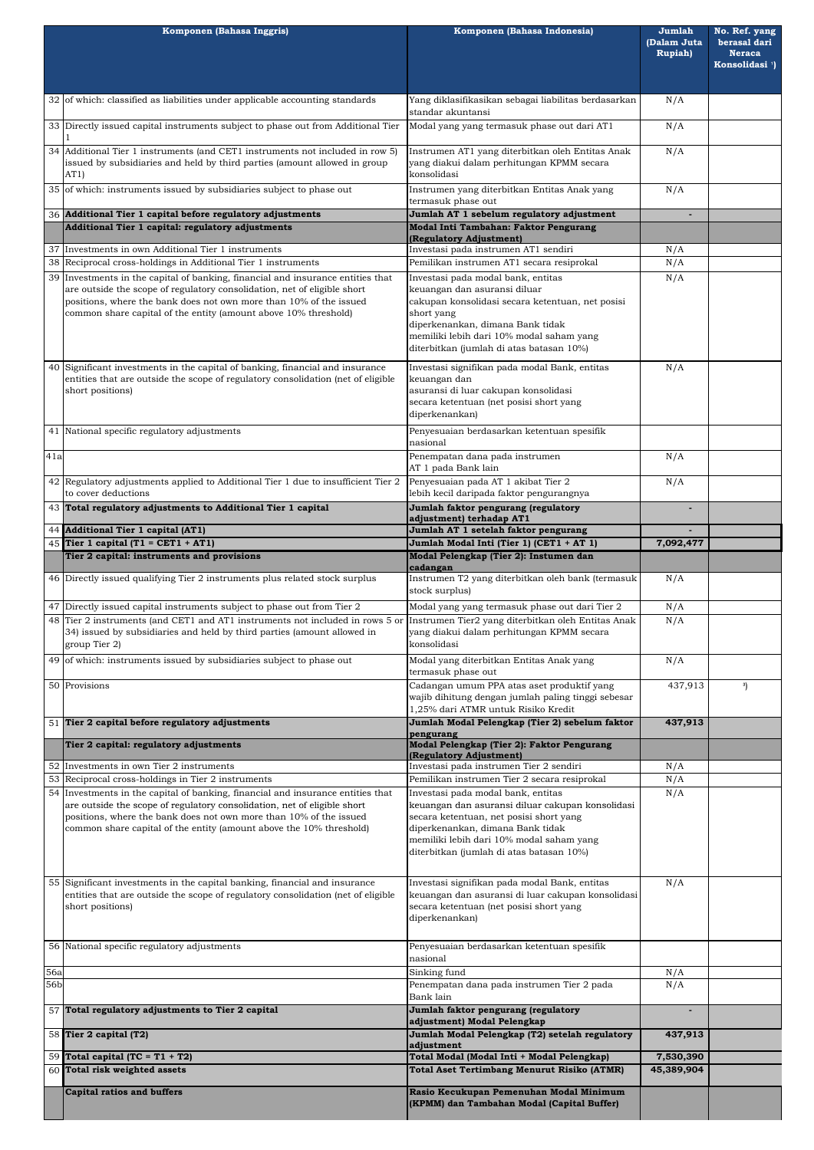|                  | Komponen (Bahasa Inggris)                                                                                                                                                                                                                                                                                | Komponen (Bahasa Indonesia)                                                                                                                                                                                                                                   | Jumlah<br>(Dalam Juta<br><b>Rupiah)</b> | No. Ref. yang<br>berasal dari<br><b>Neraca</b><br>Konsolidasi <sup>1</sup> ) |
|------------------|----------------------------------------------------------------------------------------------------------------------------------------------------------------------------------------------------------------------------------------------------------------------------------------------------------|---------------------------------------------------------------------------------------------------------------------------------------------------------------------------------------------------------------------------------------------------------------|-----------------------------------------|------------------------------------------------------------------------------|
|                  | 32 of which: classified as liabilities under applicable accounting standards                                                                                                                                                                                                                             | Yang diklasifikasikan sebagai liabilitas berdasarkan<br>standar akuntansi                                                                                                                                                                                     | N/A                                     |                                                                              |
|                  | 33 Directly issued capital instruments subject to phase out from Additional Tier                                                                                                                                                                                                                         | Modal yang yang termasuk phase out dari AT1                                                                                                                                                                                                                   | N/A                                     |                                                                              |
|                  | 34 Additional Tier 1 instruments (and CET1 instruments not included in row 5)<br>issued by subsidiaries and held by third parties (amount allowed in group<br>AT1)                                                                                                                                       | Instrumen AT1 yang diterbitkan oleh Entitas Anak<br>yang diakui dalam perhitungan KPMM secara<br>konsolidasi                                                                                                                                                  | N/A                                     |                                                                              |
|                  | 35 of which: instruments issued by subsidiaries subject to phase out                                                                                                                                                                                                                                     | Instrumen yang diterbitkan Entitas Anak yang<br>termasuk phase out                                                                                                                                                                                            | N/A                                     |                                                                              |
|                  | 36 Additional Tier 1 capital before regulatory adjustments                                                                                                                                                                                                                                               | Jumlah AT 1 sebelum regulatory adjustment                                                                                                                                                                                                                     |                                         |                                                                              |
|                  | Additional Tier 1 capital: regulatory adjustments                                                                                                                                                                                                                                                        | Modal Inti Tambahan: Faktor Pengurang<br>(Regulatory Adjustment)                                                                                                                                                                                              |                                         |                                                                              |
|                  | 37 Investments in own Additional Tier 1 instruments                                                                                                                                                                                                                                                      | Investasi pada instrumen AT1 sendiri                                                                                                                                                                                                                          | N/A                                     |                                                                              |
|                  | 38 Reciprocal cross-holdings in Additional Tier 1 instruments                                                                                                                                                                                                                                            | Pemilikan instrumen AT1 secara resiprokal                                                                                                                                                                                                                     | N/A                                     |                                                                              |
|                  | 39 Investments in the capital of banking, financial and insurance entities that<br>are outside the scope of regulatory consolidation, net of eligible short<br>positions, where the bank does not own more than 10% of the issued<br>common share capital of the entity (amount above 10% threshold)     | Investasi pada modal bank, entitas<br>keuangan dan asuransi diluar<br>cakupan konsolidasi secara ketentuan, net posisi<br>short yang<br>diperkenankan, dimana Bank tidak                                                                                      | N/A                                     |                                                                              |
|                  | 40 Significant investments in the capital of banking, financial and insurance                                                                                                                                                                                                                            | memiliki lebih dari 10% modal saham yang<br>diterbitkan (jumlah di atas batasan 10%)                                                                                                                                                                          | N/A                                     |                                                                              |
|                  | entities that are outside the scope of regulatory consolidation (net of eligible<br>short positions)                                                                                                                                                                                                     | Investasi signifikan pada modal Bank, entitas<br>keuangan dan<br>asuransi di luar cakupan konsolidasi<br>secara ketentuan (net posisi short yang<br>diperkenankan)                                                                                            |                                         |                                                                              |
|                  | 41 National specific regulatory adjustments                                                                                                                                                                                                                                                              | Penyesuaian berdasarkan ketentuan spesifik<br>nasional                                                                                                                                                                                                        |                                         |                                                                              |
| $\overline{41a}$ |                                                                                                                                                                                                                                                                                                          | Penempatan dana pada instrumen<br>AT 1 pada Bank lain                                                                                                                                                                                                         | N/A                                     |                                                                              |
|                  | 42 Regulatory adjustments applied to Additional Tier 1 due to insufficient Tier 2<br>to cover deductions                                                                                                                                                                                                 | Penyesuaian pada AT 1 akibat Tier 2<br>lebih kecil daripada faktor pengurangnya                                                                                                                                                                               | N/A                                     |                                                                              |
|                  | 43 Total regulatory adjustments to Additional Tier 1 capital                                                                                                                                                                                                                                             | Jumlah faktor pengurang (regulatory<br>adjustment) terhadap AT1                                                                                                                                                                                               |                                         |                                                                              |
|                  | 44 Additional Tier 1 capital (AT1)                                                                                                                                                                                                                                                                       | Jumlah AT 1 setelah faktor pengurang                                                                                                                                                                                                                          |                                         |                                                                              |
|                  | 45 Tier 1 capital (T1 = CET1 + AT1)                                                                                                                                                                                                                                                                      | Jumlah Modal Inti (Tier 1) (CET1 + AT 1)                                                                                                                                                                                                                      | 7,092,477                               |                                                                              |
|                  | Tier 2 capital: instruments and provisions                                                                                                                                                                                                                                                               | Modal Pelengkap (Tier 2): Instumen dan<br>cadangan                                                                                                                                                                                                            |                                         |                                                                              |
|                  | 46 Directly issued qualifying Tier 2 instruments plus related stock surplus                                                                                                                                                                                                                              | Instrumen T2 yang diterbitkan oleh bank (termasuk<br>stock surplus)                                                                                                                                                                                           | N/A                                     |                                                                              |
|                  | 47 Directly issued capital instruments subject to phase out from Tier 2                                                                                                                                                                                                                                  | Modal yang yang termasuk phase out dari Tier 2                                                                                                                                                                                                                | N/A<br>N/A                              |                                                                              |
|                  | 34) issued by subsidiaries and held by third parties (amount allowed in<br>group Tier 2)                                                                                                                                                                                                                 | 48 Tier 2 instruments (and CET1 and AT1 instruments not included in rows 5 or Instrumen Tier2 yang diterbitkan oleh Entitas Anak<br>yang diakui dalam perhitungan KPMM secara<br>konsolidasi                                                                  |                                         |                                                                              |
|                  | 49 of which: instruments issued by subsidiaries subject to phase out                                                                                                                                                                                                                                     | Modal yang diterbitkan Entitas Anak yang<br>termasuk phase out                                                                                                                                                                                                | N/A                                     |                                                                              |
|                  | 50 Provisions                                                                                                                                                                                                                                                                                            | Cadangan umum PPA atas aset produktif yang<br>wajib dihitung dengan jumlah paling tinggi sebesar<br>1,25% dari ATMR untuk Risiko Kredit                                                                                                                       |                                         | 3)                                                                           |
|                  | 51 Tier 2 capital before regulatory adjustments                                                                                                                                                                                                                                                          | Jumlah Modal Pelengkap (Tier 2) sebelum faktor                                                                                                                                                                                                                | 437,913                                 |                                                                              |
|                  | Tier 2 capital: regulatory adjustments                                                                                                                                                                                                                                                                   | pengurang<br>Modal Pelengkap (Tier 2): Faktor Pengurang<br>(Regulatory Adjustment)                                                                                                                                                                            |                                         |                                                                              |
|                  | 52 Investments in own Tier 2 instruments                                                                                                                                                                                                                                                                 | Investasi pada instrumen Tier 2 sendiri                                                                                                                                                                                                                       | N/A                                     |                                                                              |
|                  | 53 Reciprocal cross-holdings in Tier 2 instruments                                                                                                                                                                                                                                                       | Pemilikan instrumen Tier 2 secara resiprokal                                                                                                                                                                                                                  | N/A                                     |                                                                              |
|                  | 54 Investments in the capital of banking, financial and insurance entities that<br>are outside the scope of regulatory consolidation, net of eligible short<br>positions, where the bank does not own more than 10% of the issued<br>common share capital of the entity (amount above the 10% threshold) | Investasi pada modal bank, entitas<br>keuangan dan asuransi diluar cakupan konsolidasi<br>secara ketentuan, net posisi short yang<br>diperkenankan, dimana Bank tidak<br>memiliki lebih dari 10% modal saham yang<br>diterbitkan (jumlah di atas batasan 10%) | N/A                                     |                                                                              |

|     | 55 Significant investments in the capital banking, financial and insurance<br>entities that are outside the scope of regulatory consolidation (net of eligible)<br>short positions) | Investasi signifikan pada modal Bank, entitas<br>keuangan dan asuransi di luar cakupan konsolidasi<br>secara ketentuan (net posisi short yang<br>diperkenankan) | N/A        |  |
|-----|-------------------------------------------------------------------------------------------------------------------------------------------------------------------------------------|-----------------------------------------------------------------------------------------------------------------------------------------------------------------|------------|--|
|     | 56 National specific regulatory adjustments                                                                                                                                         | Penyesuaian berdasarkan ketentuan spesifik<br>nasional                                                                                                          |            |  |
| 56a |                                                                                                                                                                                     | Sinking fund                                                                                                                                                    | N/A        |  |
| 56b |                                                                                                                                                                                     | Penempatan dana pada instrumen Tier 2 pada<br>Bank lain                                                                                                         | N/A        |  |
|     | 57 Total regulatory adjustments to Tier 2 capital                                                                                                                                   | Jumlah faktor pengurang (regulatory<br>adjustment) Modal Pelengkap                                                                                              |            |  |
|     | 58 Tier 2 capital (T2)                                                                                                                                                              | Jumlah Modal Pelengkap (T2) setelah regulatory<br>adjustment                                                                                                    | 437,913    |  |
|     | 59 Total capital (TC = $T1 + T2$ )                                                                                                                                                  | Total Modal (Modal Inti + Modal Pelengkap)                                                                                                                      | 7,530,390  |  |
|     | 60 Total risk weighted assets                                                                                                                                                       | <b>Total Aset Tertimbang Menurut Risiko (ATMR)</b>                                                                                                              | 45,389,904 |  |
|     | <b>Capital ratios and buffers</b>                                                                                                                                                   | Rasio Kecukupan Pemenuhan Modal Minimum<br>(KPMM) dan Tambahan Modal (Capital Buffer)                                                                           |            |  |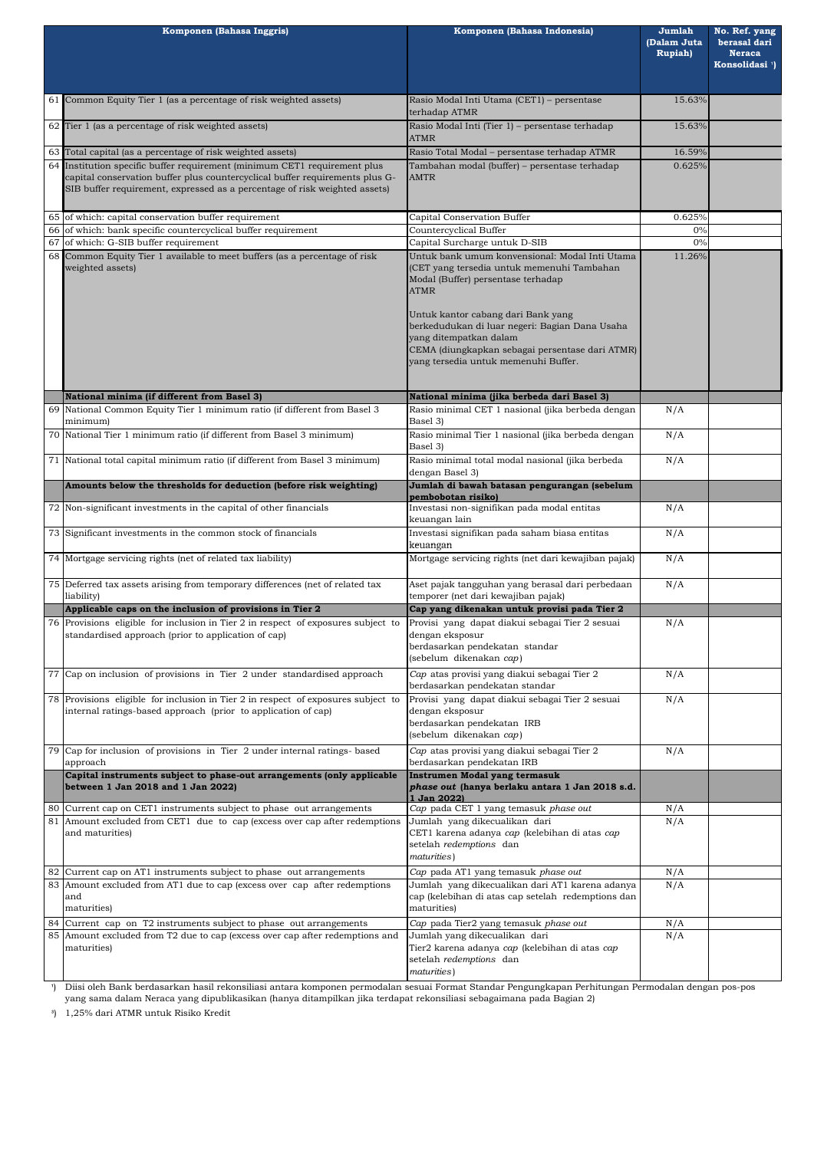| Komponen (Bahasa Inggris) |                                                                                                                                                                                                                                         | Komponen (Bahasa Indonesia)                                                                                                                                                                                                                                                                                  | Jumlah<br>(Dalam Juta<br><b>Rupiah</b> ) | No. Ref. yang<br>berasal dari<br><b>Neraca</b><br>Konsolidasi <sup>1</sup> ) |
|---------------------------|-----------------------------------------------------------------------------------------------------------------------------------------------------------------------------------------------------------------------------------------|--------------------------------------------------------------------------------------------------------------------------------------------------------------------------------------------------------------------------------------------------------------------------------------------------------------|------------------------------------------|------------------------------------------------------------------------------|
|                           | 61 Common Equity Tier 1 (as a percentage of risk weighted assets)                                                                                                                                                                       | Rasio Modal Inti Utama (CET1) - persentase<br>terhadap ATMR                                                                                                                                                                                                                                                  | 15.63%                                   |                                                                              |
|                           | 62 Tier 1 (as a percentage of risk weighted assets)                                                                                                                                                                                     | Rasio Modal Inti (Tier 1) - persentase terhadap<br><b>ATMR</b>                                                                                                                                                                                                                                               | 15.63%                                   |                                                                              |
|                           | 63 Total capital (as a percentage of risk weighted assets)                                                                                                                                                                              | Rasio Total Modal - persentase terhadap ATMR                                                                                                                                                                                                                                                                 | 16.59%                                   |                                                                              |
|                           | 64 Institution specific buffer requirement (minimum CET1 requirement plus<br>capital conservation buffer plus countercyclical buffer requirements plus G-<br>SIB buffer requirement, expressed as a percentage of risk weighted assets) | Tambahan modal (buffer) – persentase terhadap<br><b>AMTR</b>                                                                                                                                                                                                                                                 | 0.625%                                   |                                                                              |
|                           | 65 of which: capital conservation buffer requirement                                                                                                                                                                                    | Capital Conservation Buffer                                                                                                                                                                                                                                                                                  | 0.625%                                   |                                                                              |
|                           | 66 of which: bank specific countercyclical buffer requirement                                                                                                                                                                           | Countercyclical Buffer                                                                                                                                                                                                                                                                                       | 0%                                       |                                                                              |
| 67                        | of which: G-SIB buffer requirement                                                                                                                                                                                                      | Capital Surcharge untuk D-SIB<br>Untuk bank umum konvensional: Modal Inti Utama                                                                                                                                                                                                                              | 0%                                       |                                                                              |
|                           | 68 Common Equity Tier 1 available to meet buffers (as a percentage of risk<br>weighted assets)                                                                                                                                          | (CET yang tersedia untuk memenuhi Tambahan<br>Modal (Buffer) persentase terhadap<br><b>ATMR</b><br>Untuk kantor cabang dari Bank yang<br>berkedudukan di luar negeri: Bagian Dana Usaha<br>yang ditempatkan dalam<br>CEMA (diungkapkan sebagai persentase dari ATMR)<br>yang tersedia untuk memenuhi Buffer. | 11.26%                                   |                                                                              |
|                           | National minima (if different from Basel 3)                                                                                                                                                                                             | National minima (jika berbeda dari Basel 3)                                                                                                                                                                                                                                                                  |                                          |                                                                              |
|                           | 69 National Common Equity Tier 1 minimum ratio (if different from Basel 3<br>minimum)                                                                                                                                                   | Rasio minimal CET 1 nasional (jika berbeda dengan<br>Basel 3)                                                                                                                                                                                                                                                | N/A                                      |                                                                              |
|                           | 70 National Tier 1 minimum ratio (if different from Basel 3 minimum)                                                                                                                                                                    | Rasio minimal Tier 1 nasional (jika berbeda dengan<br>Basel 3)                                                                                                                                                                                                                                               | N/A                                      |                                                                              |
|                           | 71 National total capital minimum ratio (if different from Basel 3 minimum)                                                                                                                                                             | Rasio minimal total modal nasional (jika berbeda<br>dengan Basel 3)                                                                                                                                                                                                                                          | N/A                                      |                                                                              |
|                           | Amounts below the thresholds for deduction (before risk weighting)                                                                                                                                                                      | Jumlah di bawah batasan pengurangan (sebelum<br>pembobotan risikol                                                                                                                                                                                                                                           |                                          |                                                                              |
|                           | 72 Non-significant investments in the capital of other financials                                                                                                                                                                       | Investasi non-signifikan pada modal entitas<br>keuangan lain                                                                                                                                                                                                                                                 | N/A                                      |                                                                              |
|                           | 73 Significant investments in the common stock of financials                                                                                                                                                                            | Investasi signifikan pada saham biasa entitas<br>keuangan                                                                                                                                                                                                                                                    | N/A                                      |                                                                              |
|                           | 74 Mortgage servicing rights (net of related tax liability)                                                                                                                                                                             | Mortgage servicing rights (net dari kewajiban pajak)                                                                                                                                                                                                                                                         | N/A                                      |                                                                              |
|                           | 75 Deferred tax assets arising from temporary differences (net of related tax<br>Aset pajak tangguhan yang berasal dari perbedaan<br>temporer (net dari kewajiban pajak)<br>liability)                                                  |                                                                                                                                                                                                                                                                                                              | N/A                                      |                                                                              |
|                           | Applicable caps on the inclusion of provisions in Tier 2                                                                                                                                                                                | Cap yang dikenakan untuk provisi pada Tier 2                                                                                                                                                                                                                                                                 |                                          |                                                                              |
|                           | 76 Provisions eligible for inclusion in Tier 2 in respect of exposures subject to<br>standardised approach (prior to application of cap)                                                                                                | Provisi yang dapat diakui sebagai Tier 2 sesuai<br>dengan eksposur<br>berdasarkan pendekatan standar<br>(sebelum dikenakan cap)                                                                                                                                                                              | N/A                                      |                                                                              |
|                           | 77 Cap on inclusion of provisions in Tier 2 under standardised approach                                                                                                                                                                 | Cap atas provisi yang diakui sebagai Tier 2<br>berdasarkan pendekatan standar                                                                                                                                                                                                                                | N/A<br>N/A                               |                                                                              |
|                           | 78 Provisions eligible for inclusion in Tier 2 in respect of exposures subject to<br>internal ratings-based approach (prior to application of cap)                                                                                      | Provisi yang dapat diakui sebagai Tier 2 sesuai<br>dengan eksposur<br>berdasarkan pendekatan IRB<br>(sebelum dikenakan cap)                                                                                                                                                                                  |                                          |                                                                              |
|                           | Cap for inclusion of provisions in Tier 2 under internal ratings- based<br>approach                                                                                                                                                     | Cap atas provisi yang diakui sebagai Tier 2<br>berdasarkan pendekatan IRB                                                                                                                                                                                                                                    | N/A                                      |                                                                              |
|                           | Capital instruments subject to phase-out arrangements (only applicable<br>between 1 Jan 2018 and 1 Jan 2022)                                                                                                                            | Instrumen Modal yang termasuk<br>phase out (hanya berlaku antara 1 Jan 2018 s.d.<br>1 Jan 2022)                                                                                                                                                                                                              |                                          |                                                                              |
|                           | Current cap on CET1 instruments subject to phase out arrangements                                                                                                                                                                       | Cap pada CET 1 yang temasuk phase out                                                                                                                                                                                                                                                                        | N/A                                      |                                                                              |
| 81                        | Amount excluded from CET1 due to cap (excess over cap after redemptions<br>and maturities)                                                                                                                                              | Jumlah yang dikecualikan dari<br>CET1 karena adanya cap (kelebihan di atas cap<br>setelah redemptions dan<br>maturities)                                                                                                                                                                                     | N/A                                      |                                                                              |
| 82                        | Current cap on AT1 instruments subject to phase out arrangements                                                                                                                                                                        | Cap pada AT1 yang temasuk phase out                                                                                                                                                                                                                                                                          | N/A                                      |                                                                              |
| 83                        | Amount excluded from AT1 due to cap (excess over cap after redemptions<br>and<br>maturities)                                                                                                                                            | Jumlah yang dikecualikan dari AT1 karena adanya<br>cap (kelebihan di atas cap setelah redemptions dan<br>maturities)                                                                                                                                                                                         | N/A                                      |                                                                              |
| 84                        | Current cap on T2 instruments subject to phase out arrangements                                                                                                                                                                         | Cap pada Tier2 yang temasuk phase out                                                                                                                                                                                                                                                                        | N/A                                      |                                                                              |
|                           | 85 Amount excluded from T2 due to cap (excess over cap after redemptions and<br>maturities)                                                                                                                                             | Jumlah yang dikecualikan dari<br>Tier2 karena adanya cap (kelebihan di atas cap<br>setelah redemptions dan<br>maturities)                                                                                                                                                                                    | N/A                                      |                                                                              |

**³**) 1,25% dari ATMR untuk Risiko Kredit

**¹**) Diisi oleh Bank berdasarkan hasil rekonsiliasi antara komponen permodalan sesuai Format Standar Pengungkapan Perhitungan Permodalan dengan pos-pos yang sama dalam Neraca yang dipublikasikan (hanya ditampilkan jika terdapat rekonsiliasi sebagaimana pada Bagian 2)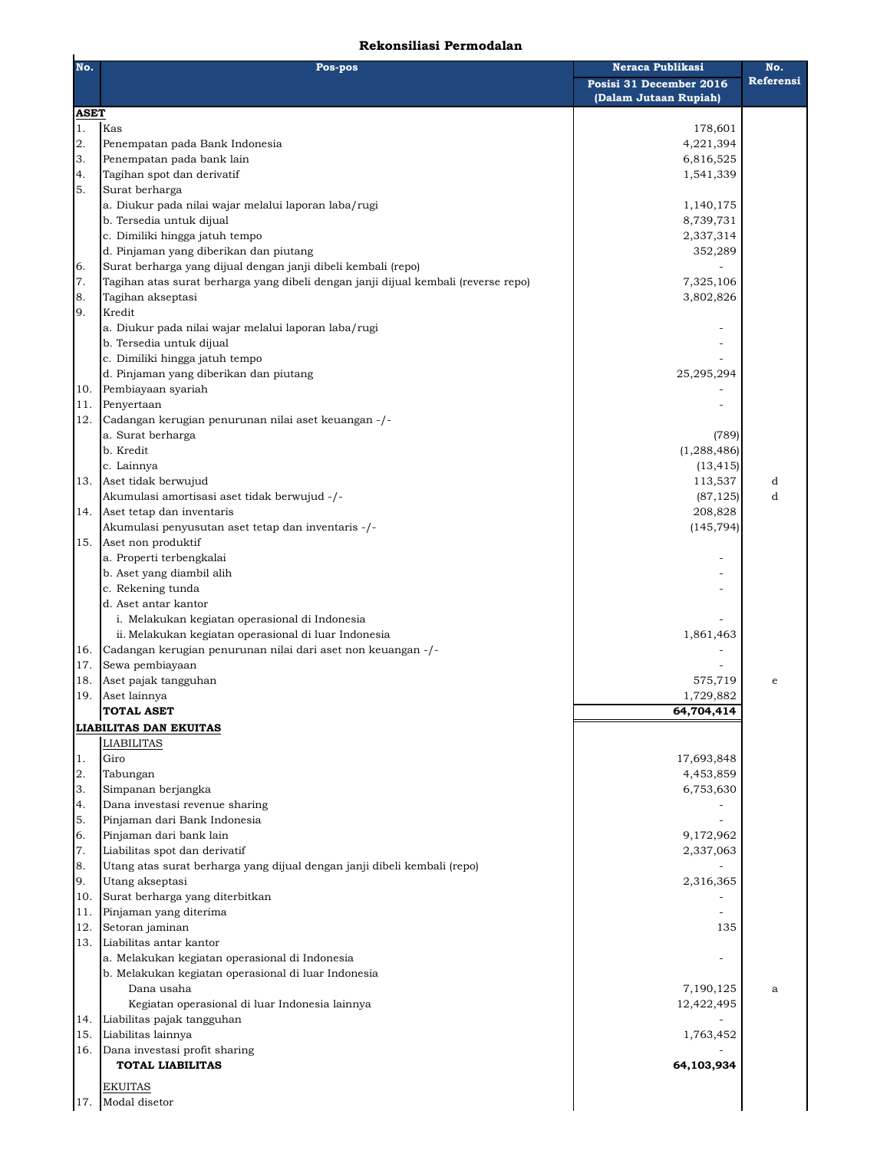## **Rekonsiliasi Permodalan**

| No.         | Pos-pos                                                                                                 | <b>Neraca Publikasi</b>                          | No.       |
|-------------|---------------------------------------------------------------------------------------------------------|--------------------------------------------------|-----------|
|             |                                                                                                         | Posisi 31 December 2016<br>(Dalam Jutaan Rupiah) | Referensi |
| <b>ASET</b> |                                                                                                         |                                                  |           |
| 1.          | Kas                                                                                                     | 178,601                                          |           |
| 2.          | Penempatan pada Bank Indonesia                                                                          | 4,221,394                                        |           |
| 3.          | Penempatan pada bank lain                                                                               | 6,816,525                                        |           |
| 4.          | Tagihan spot dan derivatif                                                                              | 1,541,339                                        |           |
| 5.          | Surat berharga                                                                                          |                                                  |           |
|             | a. Diukur pada nilai wajar melalui laporan laba/rugi                                                    | 1,140,175                                        |           |
|             | b. Tersedia untuk dijual                                                                                | 8,739,731                                        |           |
|             | c. Dimiliki hingga jatuh tempo                                                                          | 2,337,314                                        |           |
|             | d. Pinjaman yang diberikan dan piutang                                                                  | 352,289                                          |           |
| 6.<br>7.    | Surat berharga yang dijual dengan janji dibeli kembali (repo)                                           |                                                  |           |
| 8.          | Tagihan atas surat berharga yang dibeli dengan janji dijual kembali (reverse repo)<br>Tagihan akseptasi | 7,325,106<br>3,802,826                           |           |
| 9.          | Kredit                                                                                                  |                                                  |           |
|             | a. Diukur pada nilai wajar melalui laporan laba/rugi                                                    |                                                  |           |
|             | b. Tersedia untuk dijual                                                                                |                                                  |           |
|             | c. Dimiliki hingga jatuh tempo                                                                          |                                                  |           |
|             | d. Pinjaman yang diberikan dan piutang                                                                  | 25,295,294                                       |           |
| 10.         | Pembiayaan syariah                                                                                      |                                                  |           |
| 11.         | Penyertaan                                                                                              |                                                  |           |
| 12.         | Cadangan kerugian penurunan nilai aset keuangan -/-                                                     |                                                  |           |
|             | a. Surat berharga                                                                                       | (789)                                            |           |
|             | b. Kredit                                                                                               | (1, 288, 486)                                    |           |
|             | c. Lainnya                                                                                              | (13, 415)                                        |           |
| 13.         | Aset tidak berwujud                                                                                     | 113,537                                          | d         |
|             | Akumulasi amortisasi aset tidak berwujud -/-                                                            | (87, 125)                                        | d         |
| 14.         | Aset tetap dan inventaris                                                                               | 208,828                                          |           |
|             | Akumulasi penyusutan aset tetap dan inventaris -/-                                                      | (145, 794)                                       |           |
| 15.         | Aset non produktif                                                                                      |                                                  |           |
|             | a. Properti terbengkalai                                                                                |                                                  |           |
|             | b. Aset yang diambil alih                                                                               |                                                  |           |
|             | c. Rekening tunda                                                                                       |                                                  |           |
|             | d. Aset antar kantor                                                                                    |                                                  |           |
|             | i. Melakukan kegiatan operasional di Indonesia                                                          |                                                  |           |
|             | ii. Melakukan kegiatan operasional di luar Indonesia                                                    | 1,861,463                                        |           |
| 16.         | Cadangan kerugian penurunan nilai dari aset non keuangan -/-                                            |                                                  |           |
| 17.         | Sewa pembiayaan                                                                                         |                                                  |           |
| 18.         | Aset pajak tangguhan                                                                                    | 575,719                                          | e         |
| 19.         | Aset lainnya                                                                                            | 1,729,882                                        |           |
|             | <b>TOTAL ASET</b>                                                                                       | 64,704,414                                       |           |
|             | <b>LIABILITAS DAN EKUITAS</b>                                                                           |                                                  |           |
|             | <b>LIABILITAS</b>                                                                                       |                                                  |           |
| 1.          | Giro                                                                                                    | 17,693,848                                       |           |
| 2.          | Tabungan                                                                                                | 4,453,859                                        |           |
| 3.          | Simpanan berjangka                                                                                      | 6,753,630                                        |           |
| 4.          | Dana investasi revenue sharing                                                                          |                                                  |           |
| 5.          | Pinjaman dari Bank Indonesia                                                                            |                                                  |           |
| 6.          | Pinjaman dari bank lain                                                                                 | 9,172,962                                        |           |
| 7.          | Liabilitas spot dan derivatif                                                                           | 2,337,063                                        |           |
| 8.          | Utang atas surat berharga yang dijual dengan janji dibeli kembali (repo)                                |                                                  |           |
| 9.          | Utang akseptasi                                                                                         | 2,316,365                                        |           |
| 10.         | Surat berharga yang diterbitkan                                                                         |                                                  |           |
| 11.         | Pinjaman yang diterima                                                                                  |                                                  |           |
| 12.         | Setoran jaminan                                                                                         | 135                                              |           |
| 13.         | Liabilitas antar kantor                                                                                 |                                                  |           |
|             | a. Melakukan kegiatan operasional di Indonesia                                                          |                                                  |           |
|             | b. Melakukan kegiatan operasional di luar Indonesia                                                     |                                                  |           |
|             | Dana usaha                                                                                              | 7,190,125<br>12,422,495                          | a         |
|             | Kegiatan operasional di luar Indonesia lainnya                                                          |                                                  |           |
| 14.         | Liabilitas pajak tangguhan                                                                              |                                                  |           |
| 15.         | Liabilitas lainnya<br>Dana investasi profit sharing                                                     | 1,763,452                                        |           |
| 16.         | <b>TOTAL LIABILITAS</b>                                                                                 | 64,103,934                                       |           |
|             |                                                                                                         |                                                  |           |
|             | <b>EKUITAS</b>                                                                                          |                                                  |           |
| 17.         | Modal disetor                                                                                           |                                                  |           |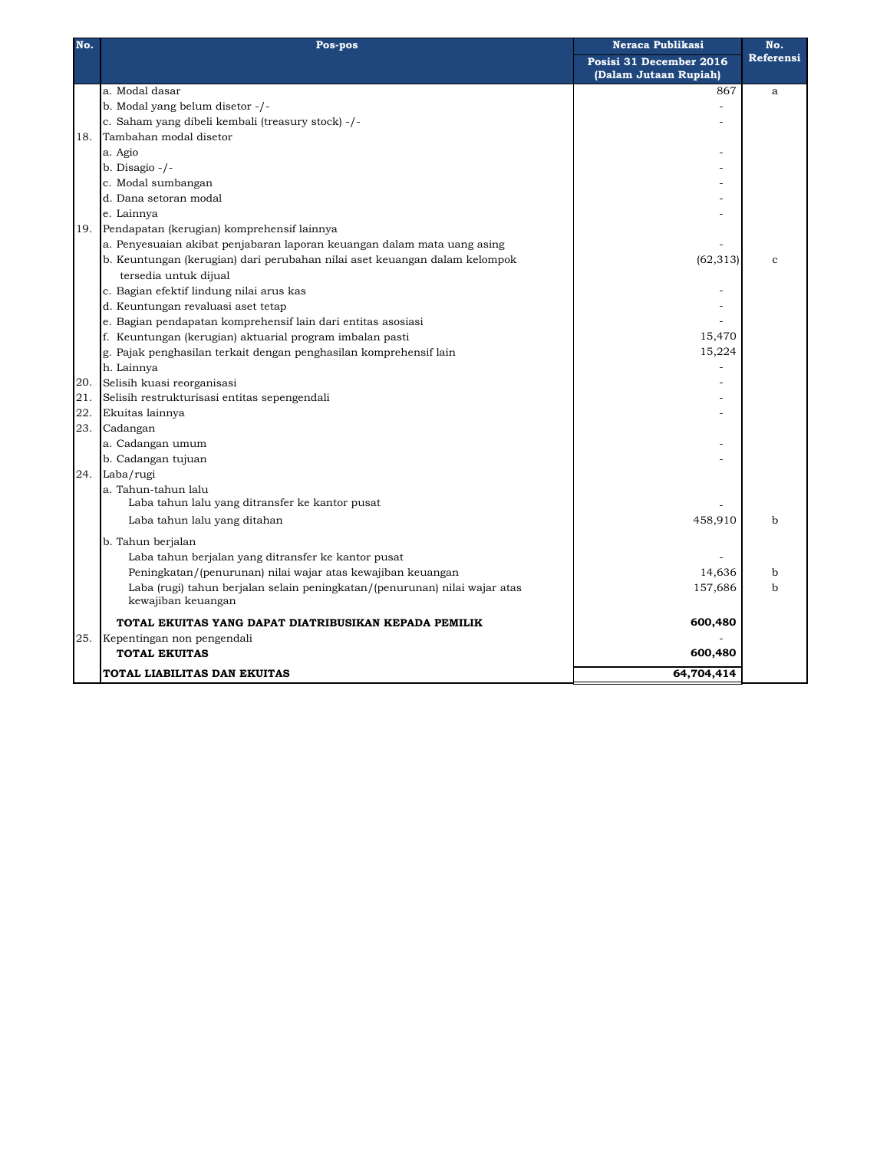| No. | Neraca Publikasi<br>Pos-pos                                                |                         | No.       |
|-----|----------------------------------------------------------------------------|-------------------------|-----------|
|     |                                                                            | Posisi 31 December 2016 | Referensi |
|     |                                                                            | (Dalam Jutaan Rupiah)   |           |
|     | a. Modal dasar                                                             | 867                     | a         |
|     | b. Modal yang belum disetor -/-                                            |                         |           |
|     | c. Saham yang dibeli kembali (treasury stock) -/-                          |                         |           |
| 18. | Tambahan modal disetor                                                     |                         |           |
|     | a. Agio                                                                    |                         |           |
|     | b. Disagio $-/-$                                                           |                         |           |
|     | c. Modal sumbangan                                                         |                         |           |
|     | d. Dana setoran modal                                                      |                         |           |
|     | e. Lainnya                                                                 |                         |           |
| 19. | Pendapatan (kerugian) komprehensif lainnya                                 |                         |           |
|     | a. Penyesuaian akibat penjabaran laporan keuangan dalam mata uang asing    |                         |           |
|     | b. Keuntungan (kerugian) dari perubahan nilai aset keuangan dalam kelompok | (62, 313)               | Ċ.        |
|     | tersedia untuk dijual                                                      |                         |           |
|     | c. Bagian efektif lindung nilai arus kas                                   |                         |           |
|     | d. Keuntungan revaluasi aset tetap                                         |                         |           |
|     | e. Bagian pendapatan komprehensif lain dari entitas asosiasi               |                         |           |
|     | f. Keuntungan (kerugian) aktuarial program imbalan pasti                   | 15,470                  |           |
|     | g. Pajak penghasilan terkait dengan penghasilan komprehensif lain          | 15,224                  |           |
|     | h. Lainnya                                                                 |                         |           |
| 20. | Selisih kuasi reorganisasi                                                 |                         |           |
| 21. | Selisih restrukturisasi entitas sepengendali                               |                         |           |
| 22. | Ekuitas lainnya                                                            |                         |           |
| 23. | Cadangan                                                                   |                         |           |
|     | a. Cadangan umum                                                           |                         |           |
|     | b. Cadangan tujuan                                                         |                         |           |
| 24. | Laba/rugi                                                                  |                         |           |
|     | a. Tahun-tahun lalu                                                        |                         |           |
|     | Laba tahun lalu yang ditransfer ke kantor pusat                            |                         |           |
|     | Laba tahun lalu yang ditahan                                               | 458,910                 | b         |
|     | b. Tahun berjalan                                                          |                         |           |
|     | Laba tahun berjalan yang ditransfer ke kantor pusat                        |                         |           |
|     | Peningkatan/(penurunan) nilai wajar atas kewajiban keuangan                | 14,636                  | b         |
|     | Laba (rugi) tahun berjalan selain peningkatan/(penurunan) nilai wajar atas | 157,686                 | b         |
|     | kewajiban keuangan                                                         |                         |           |
|     | TOTAL EKUITAS YANG DAPAT DIATRIBUSIKAN KEPADA PEMILIK                      | 600,480                 |           |
| 25. | Kepentingan non pengendali                                                 |                         |           |
|     | <b>TOTAL EKUITAS</b>                                                       | 600,480                 |           |
|     | TOTAL LIABILITAS DAN EKUITAS                                               | 64,704,414              |           |